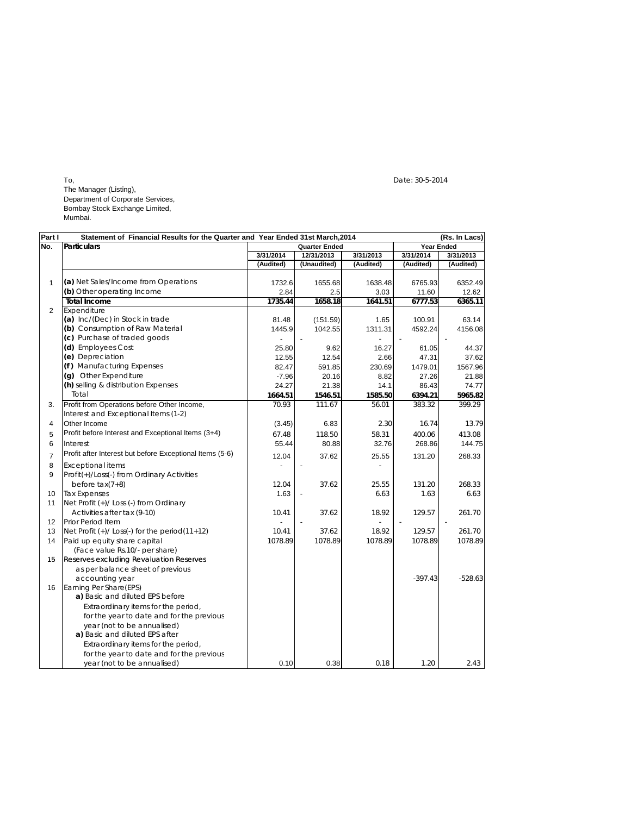$\Gamma$ o, Date: 30-5-2014 The Manager (Listing), Department of Corporate Services, Bombay Stock Exchange Limited, Mumbai.

| Part I          | Statement of Financial Results for the Quarter and Year Ended 31st March, 2014 |           |                      |           |                   | (Rs. In Lacs) |
|-----------------|--------------------------------------------------------------------------------|-----------|----------------------|-----------|-------------------|---------------|
| No.             | <b>Particulars</b>                                                             |           | <b>Quarter Ended</b> |           | <b>Year Ended</b> |               |
|                 |                                                                                | 3/31/2014 | 12/31/2013           | 3/31/2013 | 3/31/2014         | 3/31/2013     |
|                 |                                                                                | (Audited) | (Unaudited)          | (Audited) | (Audited)         | (Audited)     |
|                 |                                                                                |           |                      |           |                   |               |
| 1               | (a) Net Sales/Income from Operations                                           | 1732.6    | 1655.68              | 1638.48   | 6765.93           | 6352.49       |
|                 | (b) Other operating Income                                                     | 2.84      | 2.5                  | 3.03      | 11.60             | 12.62         |
|                 | <b>Total Income</b>                                                            | 1735.44   | 1658.18              | 1641.51   | 6777.53           | 6365.11       |
| $\overline{2}$  | Expenditure                                                                    |           |                      |           |                   |               |
|                 | (a) Inc/(Dec) in Stock in trade                                                | 81.48     | (151.59)             | 1.65      | 100.91            | 63.14         |
|                 | (b) Consumption of Raw Material                                                | 1445.9    | 1042.55              | 1311.31   | 4592.24           | 4156.08       |
|                 | (c) Purchase of traded goods                                                   |           |                      |           |                   |               |
|                 | (d) Employees Cost                                                             | 25.80     | 9.62                 | 16.27     | 61.05             | 44.37         |
|                 | (e) Depreciation                                                               | 12.55     | 12.54                | 2.66      | 47.31             | 37.62         |
|                 | (f) Manufacturing Expenses                                                     | 82.47     | 591.85               | 230.69    | 1479.01           | 1567.96       |
|                 | (g) Other Expenditure                                                          | $-7.96$   | 20.16                | 8.82      | 27.26             | 21.88         |
|                 | (h) selling & distribution Expenses                                            | 24.27     | 21.38                | 14.1      | 86.43             | 74.77         |
|                 | Total                                                                          | 1664.51   | 1546.51              | 1585.50   | 6394.21           | 5965.82       |
| 3.              | Profit from Operations before Other Income,                                    | 70.93     | 111.67               | 56.01     | 383.32            | 399.29        |
|                 | Interest and Exceptional Items (1-2)                                           |           |                      |           |                   |               |
| 4               | Other Income                                                                   | (3.45)    | 6.83                 | 2.30      | 16.74             | 13.79         |
| 5               | Profit before Interest and Exceptional Items (3+4)                             | 67.48     | 118.50               | 58.31     | 400.06            | 413.08        |
| 6               | Interest                                                                       | 55.44     | 80.88                | 32.76     | 268.86            | 144.75        |
|                 | Profit after Interest but before Exceptional Items (5-6)                       |           |                      |           |                   |               |
| 7               |                                                                                | 12.04     | 37.62                | 25.55     | 131.20            | 268.33        |
| 8               | <b>Exceptional items</b>                                                       |           |                      |           |                   |               |
| 9               | Profit(+)/Loss(-) from Ordinary Activities                                     |           |                      |           |                   |               |
|                 | before $tax(7+8)$                                                              | 12.04     | 37.62                | 25.55     | 131.20            | 268.33        |
| 10              | <b>Tax Expenses</b>                                                            | 1.63      |                      | 6.63      | 1.63              | 6.63          |
| 11              | Net Profit (+)/ Loss (-) from Ordinary                                         |           |                      |           |                   |               |
|                 | Activities after tax (9-10)                                                    | 10.41     | 37.62                | 18.92     | 129.57            | 261.70        |
| 12 <sup>2</sup> | <b>Prior Period Item</b>                                                       |           |                      |           |                   |               |
| 13              | Net Profit $(+)/$ Loss $(-)$ for the period $(11+12)$                          | 10.41     | 37.62                | 18.92     | 129.57            | 261.70        |
| 14              | Paid up equity share capital                                                   | 1078.89   | 1078.89              | 1078.89   | 1078.89           | 1078.89       |
|                 | (Face value Rs.10/- per share)                                                 |           |                      |           |                   |               |
| 15              | Reserves excluding Revaluation Reserves                                        |           |                      |           |                   |               |
|                 | as per balance sheet of previous                                               |           |                      |           |                   |               |
|                 | accounting year                                                                |           |                      |           | $-397.43$         | $-528.63$     |
| 16              | Earning Per Share(EPS)                                                         |           |                      |           |                   |               |
|                 | a) Basic and diluted EPS before                                                |           |                      |           |                   |               |
|                 | Extraordinary items for the period,                                            |           |                      |           |                   |               |
|                 | for the year to date and for the previous                                      |           |                      |           |                   |               |
|                 | year (not to be annualised)                                                    |           |                      |           |                   |               |
|                 | a) Basic and diluted EPS after                                                 |           |                      |           |                   |               |
|                 | Extraordinary items for the period,                                            |           |                      |           |                   |               |
|                 | for the year to date and for the previous                                      |           |                      |           |                   |               |
|                 | year (not to be annualised)                                                    | 0.10      | 0.38                 | 0.18      | 1.20              | 2.43          |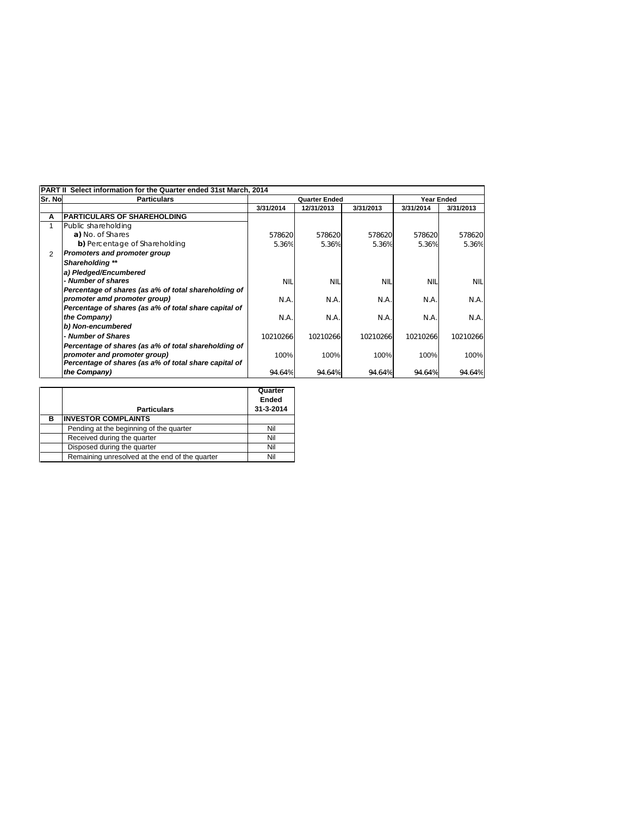|                | Select information for the Quarter ended 31st March, 2014<br><b>PART II</b> |                      |            |            |            |            |  |  |
|----------------|-----------------------------------------------------------------------------|----------------------|------------|------------|------------|------------|--|--|
| <b>Sr. Nol</b> | <b>Particulars</b>                                                          | <b>Quarter Ended</b> |            |            | Year Ended |            |  |  |
|                |                                                                             | 3/31/2014            | 12/31/2013 | 3/31/2013  | 3/31/2014  | 3/31/2013  |  |  |
| Α              | <b>IPARTICULARS OF SHAREHOLDING</b>                                         |                      |            |            |            |            |  |  |
|                | Public shareholding                                                         |                      |            |            |            |            |  |  |
|                | a) No. of Shares                                                            | 578620               | 578620     | 578620     | 578620     | 578620     |  |  |
|                | b) Percentage of Shareholding                                               | 5.36%                | 5.36%      | 5.36%      | 5.36%      | 5.36%      |  |  |
| 2              | <b>Promoters and promoter group</b>                                         |                      |            |            |            |            |  |  |
|                | Shareholding **                                                             |                      |            |            |            |            |  |  |
|                | a) Pledged/Encumbered                                                       |                      |            |            |            |            |  |  |
|                | - Number of shares                                                          | <b>NIL</b>           | <b>NII</b> | <b>NIL</b> | <b>NIL</b> | <b>NIL</b> |  |  |
|                | Percentage of shares (as a% of total shareholding of                        |                      |            |            |            |            |  |  |
|                | promoter amd promoter group)                                                | N.A.                 | N.A.       | N.A.       | N.A.       | N.A.       |  |  |
|                | Percentage of shares (as a% of total share capital of                       |                      |            |            |            |            |  |  |
|                | the Company)                                                                | N.A.                 | N.A.       | N.A.       | N.A.       | N.A.       |  |  |
|                | b) Non-encumbered                                                           |                      |            |            |            |            |  |  |
|                | - Number of Shares                                                          | 10210266             | 10210266   | 10210266   | 10210266   | 10210266   |  |  |
|                | Percentage of shares (as a% of total shareholding of                        |                      |            |            |            |            |  |  |
|                | promoter and promoter group)                                                | 100%                 | 100%       | 100%       | 100%       | 100%       |  |  |
|                | Percentage of shares (as a% of total share capital of                       |                      |            |            |            |            |  |  |
|                | the Company)                                                                | 94.64%               | 94.64%     | 94.64%     | 94.64%     | 94.64%     |  |  |

|   | <b>Particulars</b>                             | Quarter<br>Ended<br>31-3-2014 |
|---|------------------------------------------------|-------------------------------|
| в | <b>INVESTOR COMPLAINTS</b>                     |                               |
|   | Pending at the beginning of the quarter        | Nil                           |
|   | Received during the quarter                    | Nil                           |
|   | Disposed during the quarter                    | Nil                           |
|   | Remaining unresolved at the end of the quarter | Nil                           |